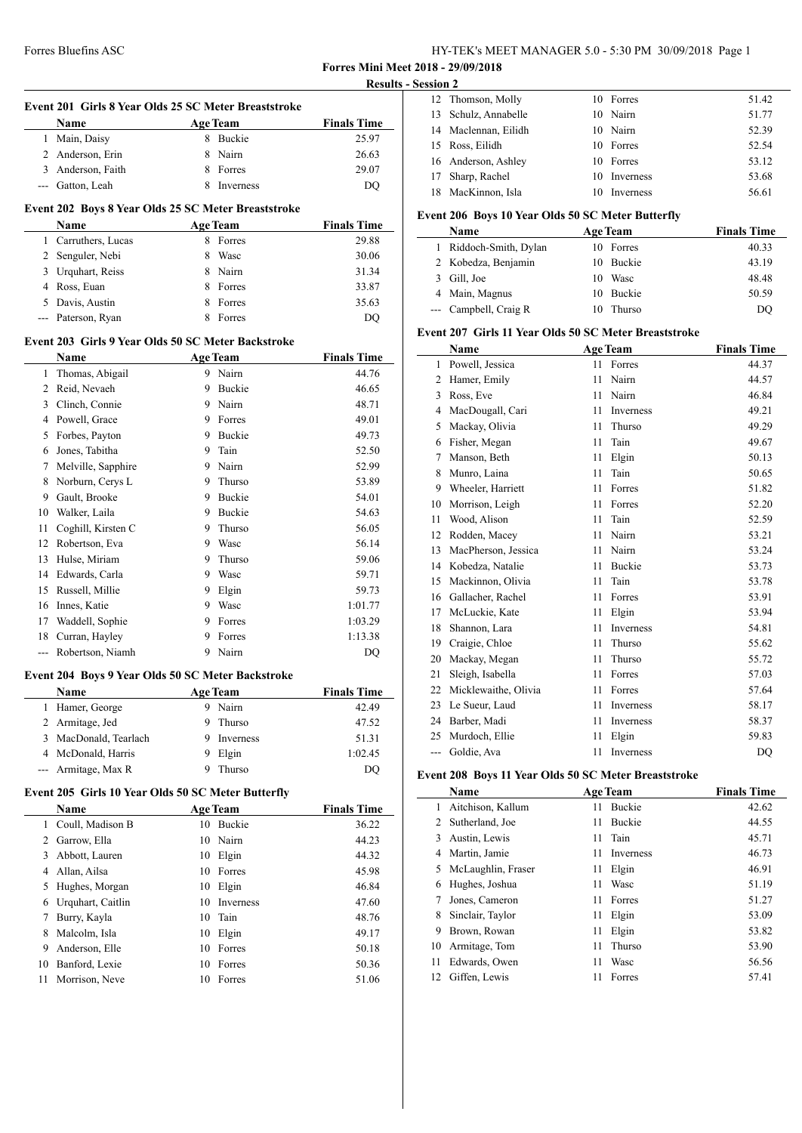**Forres Mini Meet 2018 - 29/09/2018**

|                | Name                                                |   | <b>Age Team</b> | <b>Finals Time</b> |
|----------------|-----------------------------------------------------|---|-----------------|--------------------|
|                | 1 Main, Daisy                                       |   | 8 Buckie        | 25.97              |
|                | 2 Anderson, Erin                                    |   | 8 Nairn         | 26.63              |
|                | 3 Anderson, Faith                                   |   | 8 Forres        | 29.07              |
|                | --- Gatton, Leah                                    |   | 8 Inverness     | DQ                 |
|                | Event 202 Boys 8 Year Olds 25 SC Meter Breaststroke |   |                 |                    |
|                | Name                                                |   | <b>Age Team</b> | <b>Finals Time</b> |
|                | 1 Carruthers, Lucas                                 |   | 8 Forres        | 29.88              |
|                | 2 Senguler, Nebi                                    |   | 8 Wasc          | 30.06              |
|                | 3 Urquhart, Reiss                                   |   | 8 Nairn         | 31.34              |
|                | 4 Ross, Euan                                        |   | 8 Forres        | 33.87              |
|                | 5 Davis, Austin                                     |   | 8 Forres        | 35.63              |
|                | --- Paterson, Ryan                                  |   | 8 Forres        | DQ                 |
|                | Event 203 Girls 9 Year Olds 50 SC Meter Backstroke  |   |                 |                    |
|                | <b>Name</b>                                         |   | <b>Age Team</b> | <b>Finals Time</b> |
| 1              | Thomas, Abigail                                     |   | 9 Nairn         | 44.76              |
| $\overline{2}$ | Reid, Nevaeh                                        |   | 9 Buckie        | 46.65              |
| $\mathbf{3}$   | Clinch, Connie                                      |   | 9 Nairn         | 48.71              |
|                | 4 Powell, Grace                                     |   | 9 Forres        | 49.01              |
| 5              | Forbes, Payton                                      |   | 9 Buckie        | 49.73              |
| 6              | Jones, Tabitha                                      |   | 9 Tain          | 52.50              |
| 7              | Melville, Sapphire                                  |   | 9 Nairn         | 52.99              |
| 8              | Norburn, Cerys L                                    |   | 9 Thurso        | 53.89              |
| 9              | Gault, Brooke                                       |   | 9 Buckie        | 54.01              |
|                | 10 Walker, Laila                                    |   | 9 Buckie        | 54.63              |
| 11             | Coghill, Kirsten C                                  | 9 | Thurso          | 56.05              |
| 12             | Robertson, Eva                                      |   | 9 Wasc          | 56.14              |
| 13             | Hulse, Miriam                                       |   | 9 Thurso        | 59.06              |
|                | 14 Edwards, Carla                                   |   | 9 Wasc          | 59.71              |
|                | 15 Russell, Millie                                  |   | 9 Elgin         | 59.73              |
|                | 16 Innes, Katie                                     |   | 9 Wasc          | 1:01.77            |
|                | 17 Waddell, Sophie                                  |   | 9 Forres        | 1:03.29            |
| 18             | Curran, Hayley                                      | 9 | Forres          | 1:13.38            |
|                | Robertson, Niamh                                    | 9 | Nairn           | DQ                 |

| <b>Name</b>           | <b>Age Team</b> | <b>Finals Time</b> |
|-----------------------|-----------------|--------------------|
| 1 Hamer, George       | Nairn           | 42.49              |
| 2 Armitage, Jed       | Thurso          | 47.52              |
| 3 MacDonald, Tearlach | Inverness       | 51.31              |
| 4 McDonald, Harris    | Elgin           | 1:02.45            |
| --- Armitage, Max R   | Thurso          | DO                 |

## **Event 205 Girls 10 Year Olds 50 SC Meter Butterfly**

|    | <b>Name</b>       | <b>Age Team</b> |           | <b>Finals Time</b> |
|----|-------------------|-----------------|-----------|--------------------|
| 1. | Coull, Madison B  | 10              | Buckie    | 36.22              |
| 2  | Garrow, Ella      |                 | 10 Nairn  | 44.23              |
| 3  | Abbott, Lauren    | 10              | Elgin     | 44.32              |
| 4  | Allan, Ailsa      | 10              | Forres    | 45.98              |
| 5  | Hughes, Morgan    | 10              | Elgin     | 46.84              |
| 6  | Urquhart, Caitlin | 10              | Inverness | 47.60              |
| 7  | Burry, Kayla      | 10              | Tain      | 48.76              |
| 8  | Malcolm, Isla     | 10              | Elgin     | 49.17              |
| 9  | Anderson, Elle    | 10              | Forres    | 50.18              |
| 10 | Banford, Lexie    | 10              | Forres    | 50.36              |
| 11 | Morrison, Neve    | 10              | Forres    | 51.06              |
|    |                   |                 |           |                    |

|           | <b>Results - Session 2</b> |                 |       |
|-----------|----------------------------|-----------------|-------|
|           | 12 Thomson, Molly          | 10 Forres       | 51.42 |
|           | 13 Schulz, Annabelle       | 10 Nairn        | 51.77 |
| 'ime      | 14 Maclennan, Eilidh       | 10 Nairn        | 52.39 |
| 5.97      | 15 Ross, Eilidh            | 10 Forres       | 52.54 |
| 5.63      | 16 Anderson, Ashley        | 10 Forres       | 53.12 |
| 9.07      | 17 Sharp, Rachel           | Inverness<br>10 | 53.68 |
| <b>DQ</b> | 18 MacKinnon, Isla         | Inverness       | 56.61 |

### **Event 206 Boys 10 Year Olds 50 SC Meter Butterfly**

| <b>Name</b>            |    | <b>Age Team</b> | <b>Finals Time</b> |
|------------------------|----|-----------------|--------------------|
| 1 Riddoch-Smith, Dylan |    | 10 Forres       | 40.33              |
| 2 Kobedza, Benjamin    |    | 10 Buckie       | 43.19              |
| 3 Gill, Joe            | 10 | Wasc            | 48.48              |
| 4 Main, Magnus         |    | 10 Buckie       | 50.59              |
| --- Campbell, Craig R  | 10 | Thurso          | DO                 |

### **Event 207 Girls 11 Year Olds 50 SC Meter Breaststroke**

|     | Name                 |    | <b>Age Team</b>  | <b>Finals Time</b> |  |
|-----|----------------------|----|------------------|--------------------|--|
| 1   | Powell, Jessica      | 11 | Forres           | 44.37              |  |
| 2   | Hamer, Emily         | 11 | Nairn            | 44.57              |  |
| 3   | Ross, Eve            | 11 | Nairn            | 46.84              |  |
| 4   | MacDougall, Cari     | 11 | Inverness        | 49.21              |  |
| 5   | Mackay, Olivia       | 11 | Thurso           | 49.29              |  |
| 6   | Fisher, Megan        | 11 | Tain             | 49.67              |  |
| 7   | Manson, Beth         | 11 | Elgin            | 50.13              |  |
| 8   | Munro, Laina         | 11 | Tain             | 50.65              |  |
| 9   | Wheeler, Harriett    | 11 | Forres           | 51.82              |  |
| 10  | Morrison, Leigh      | 11 | Forres           | 52.20              |  |
| 11  | Wood, Alison         | 11 | Tain             | 52.59              |  |
| 12  | Rodden, Macey        | 11 | Nairn            | 53.21              |  |
| 13  | MacPherson, Jessica  | 11 | Nairn            | 53.24              |  |
| 14  | Kobedza, Natalie     | 11 | Buckie           | 53.73              |  |
| 15  | Mackinnon, Olivia    | 11 | Tain             | 53.78              |  |
| 16  | Gallacher, Rachel    | 11 | Forres           | 53.91              |  |
| 17  | McLuckie, Kate       | 11 | Elgin            | 53.94              |  |
| 18  | Shannon, Lara        | 11 | Inverness        | 54.81              |  |
| 19  | Craigie, Chloe       | 11 | Thurso           | 55.62              |  |
| 20  | Mackay, Megan        | 11 | Thurso           | 55.72              |  |
| 21  | Sleigh, Isabella     | 11 | Forres           | 57.03              |  |
| 22  | Micklewaithe, Olivia | 11 | Forres           | 57.64              |  |
| 23  | Le Sueur, Laud       | 11 | Inverness        | 58.17              |  |
| 24  | Barber, Madi         | 11 | Inverness        | 58.37              |  |
| 25  | Murdoch, Ellie       | 11 | Elgin            | 59.83              |  |
| --- | Goldie. Ava          | 11 | <b>Inverness</b> | DO                 |  |

# **Event 208 Boys 11 Year Olds 50 SC Meter Breaststroke**

|    | Name               |    | <b>Age Team</b> | <b>Finals Time</b> |
|----|--------------------|----|-----------------|--------------------|
| 1  | Aitchison, Kallum  | 11 | <b>Buckie</b>   | 42.62              |
| 2  | Sutherland, Joe    | 11 | <b>Buckie</b>   | 44.55              |
| 3  | Austin, Lewis      | 11 | Tain            | 45.71              |
| 4  | Martin, Jamie      | 11 | Inverness       | 46.73              |
| 5  | McLaughlin, Fraser | 11 | Elgin           | 46.91              |
| 6  | Hughes, Joshua     | 11 | Wasc            | 51.19              |
| 7  | Jones, Cameron     | 11 | Forres          | 51.27              |
| 8  | Sinclair, Taylor   | 11 | Elgin           | 53.09              |
| 9  | Brown, Rowan       | 11 | Elgin           | 53.82              |
| 10 | Armitage, Tom      | 11 | Thurso          | 53.90              |
| 11 | Edwards, Owen      | 11 | Wasc            | 56.56              |
| 12 | Giffen, Lewis      | 11 | Forres          | 57.41              |
|    |                    |    |                 |                    |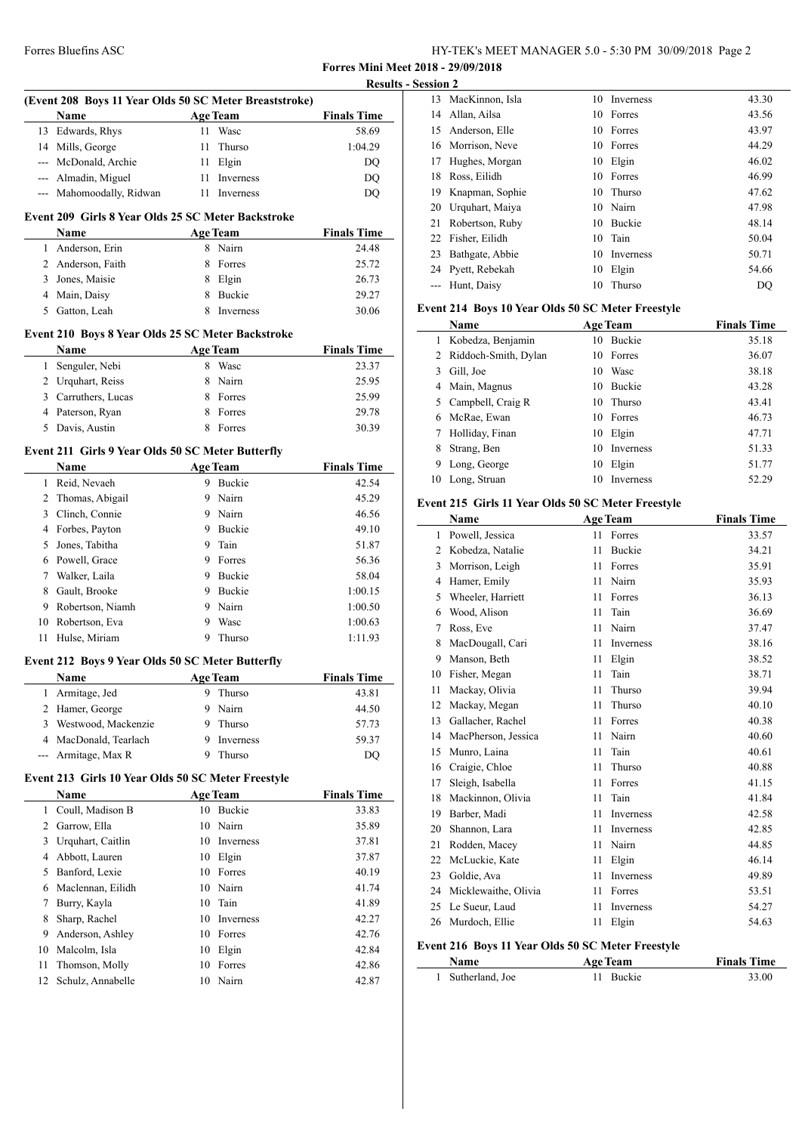**Forres Mini Meet 2018 - 29/09/2018**

|              | (Event 208 Boys 11 Year Olds 50 SC Meter Breaststroke) |                 |                 |                    |
|--------------|--------------------------------------------------------|-----------------|-----------------|--------------------|
|              | Name                                                   | <b>Age Team</b> |                 | <b>Finals Time</b> |
| 13           | Edwards, Rhys                                          | 11              | Wasc            | 58.69              |
| 14           | Mills, George                                          | 11              | Thurso          | 1:04.29            |
|              | --- McDonald, Archie                                   | 11              | Elgin           | DQ                 |
|              | --- Almadin, Miguel                                    | 11              | Inverness       | DQ                 |
|              | --- Mahomoodally, Ridwan                               | 11              | Inverness       | DQ                 |
|              | Event 209 Girls 8 Year Olds 25 SC Meter Backstroke     |                 |                 |                    |
|              | Name                                                   |                 | <b>Age Team</b> | <b>Finals Time</b> |
| 1            | Anderson, Erin                                         |                 | 8 Nairn         | 24.48              |
|              | 2 Anderson, Faith                                      | 8               | Forres          | 25.72              |
|              | 3 Jones, Maisie                                        |                 | 8 Elgin         | 26.73              |
|              | 4 Main, Daisy                                          |                 | 8 Buckie        | 29.27              |
|              | 5 Gatton, Leah                                         |                 | 8 Inverness     | 30.06              |
|              | Event 210 Boys 8 Year Olds 25 SC Meter Backstroke      |                 |                 |                    |
|              | Name                                                   |                 | <b>Age Team</b> | <b>Finals Time</b> |
| 1            | Senguler, Nebi                                         |                 | 8 Wasc          | 23.37              |
|              | 2 Urquhart, Reiss                                      | 8               | Nairn           | 25.95              |
|              | 3 Carruthers, Lucas                                    |                 | 8 Forres        | 25.99              |
|              | 4 Paterson, Ryan                                       |                 | 8 Forres        | 29.78              |
| 5            | Davis, Austin                                          | 8               | Forres          | 30.39              |
|              | Event 211 Girls 9 Year Olds 50 SC Meter Butterfly      |                 |                 |                    |
|              | Name                                                   |                 | <b>Age Team</b> | <b>Finals Time</b> |
| $\mathbf{1}$ | Reid, Nevaeh                                           |                 | 9 Buckie        | 42.54              |
|              | 2 Thomas, Abigail                                      | 9               | Nairn           | 45.29              |
|              | 3 Clinch, Connie                                       |                 | 9 Nairn         | 46.56              |
|              | 4 Forbes, Payton                                       | 9               | Buckie          | 49.10              |
| 5            | Jones, Tabitha                                         | 9               | Tain            | 51.87              |
|              | 6 Powell, Grace                                        | 9               | Forres          | 56.36              |
|              | 7 Walker, Laila                                        | 9               | Buckie          | 58.04              |
| 8            | Gault, Brooke                                          | 9               | Buckie          | 1:00.15            |
| 9            | Robertson, Niamh                                       | 9               | Nairn           | 1:00.50            |
| 10           | Robertson, Eva                                         | 9               | Wasc            | 1:00.63            |
| 11           | Hulse, Miriam                                          | 9               | Thurso          | 1:11.93            |
|              | Event 212 Boys 9 Year Olds 50 SC Meter Butterfly       |                 |                 |                    |
|              | Name                                                   |                 | <b>Age Team</b> | <b>Finals Time</b> |
| $\mathbf{1}$ | Armitage, Jed                                          |                 | 9 Thurso        | 43.81              |
| 2            | Hamer, George                                          | 9               | Nairn           | 44.50              |
| 3            | Westwood, Mackenzie                                    | 9               | Thurso          | 57.73              |
|              | 4 MacDonald, Tearlach                                  | 9               | Inverness       | 59.37              |
|              | --- Armitage, Max R                                    | 9               | Thurso          | DQ                 |
|              | Event 213 Girls 10 Year Olds 50 SC Meter Freestyle     |                 |                 |                    |
|              | Name                                                   |                 | <b>Age Team</b> | <b>Finals Time</b> |
| 1            | Coull, Madison B                                       |                 | 10 Buckie       | 33.83              |
| 2            | Garrow, Ella                                           | 10              | Nairn           | 35.89              |
| 3            | Urquhart, Caitlin                                      | 10              | Inverness       | 37.81              |
| 4            | Abbott, Lauren                                         | 10              | Elgin           | 37.87              |
| 5            | Banford, Lexie                                         | 10              | Forres          | 40.19              |
| 6            | Maclennan, Eilidh                                      | 10              | Nairn           | 41.74              |
| 7            | Burry, Kayla                                           | 10              | Tain            | 41.89              |
| 8            | Sharp, Rachel                                          | 10              | Inverness       | 42.27              |
| 9            | Anderson, Ashley                                       | 10              | Forres          | 42.76              |
| 10           | Malcolm, Isla                                          | 10              | Elgin           | 42.84              |
| 11           | Thomson, Molly                                         | 10              | Forres          | 42.86              |
| 12           | Schulz, Annabelle                                      | 10              | Nairn           | 42.87              |
|              |                                                        |                 |                 |                    |
|              |                                                        |                 |                 |                    |

|     | <b>Results - Session 2</b> |                    |    |               |       |
|-----|----------------------------|--------------------|----|---------------|-------|
|     | 13                         | MacKinnon, Isla    | 10 | Inverness     | 43.30 |
| ime | 14                         | Allan, Ailsa       | 10 | Forres        | 43.56 |
| .69 | 15                         | Anderson, Elle     |    | 10 Forres     | 43.97 |
| .29 | 16                         | Morrison, Neve     | 10 | Forres        | 44.29 |
| DQ  | 17                         | Hughes, Morgan     | 10 | Elgin         | 46.02 |
| DQ  | 18                         | Ross, Eilidh       | 10 | Forres        | 46.99 |
| DQ  | 19                         | Knapman, Sophie    | 10 | Thurso        | 47.62 |
|     |                            | 20 Urquhart, Maiya | 10 | Nairn         | 47.98 |
|     | 21                         | Robertson, Ruby    | 10 | <b>Buckie</b> | 48.14 |
| ime |                            | 22 Fisher, Eilidh  | 10 | Tain          | 50.04 |
| .48 | 23                         | Bathgate, Abbie    | 10 | Inverness     | 50.71 |
| .72 | 24                         | Pyett, Rebekah     | 10 | Elgin         | 54.66 |
| .73 |                            | Hunt, Daisy        | 10 | Thurso        | DO    |
| .27 |                            |                    |    |               |       |

# **Event 214 Boys 10 Year Olds 50 SC Meter Freestyle**

|              | <b>Name</b>          |    | <b>Age Team</b> | <b>Finals Time</b> |
|--------------|----------------------|----|-----------------|--------------------|
| 1            | Kobedza, Benjamin    | 10 | <b>Buckie</b>   | 35.18              |
| $\mathbf{2}$ | Riddoch-Smith, Dylan | 10 | Forres          | 36.07              |
| 3            | Gill, Joe            | 10 | Wasc            | 38.18              |
|              | 4 Main, Magnus       | 10 | Buckie          | 43.28              |
|              | 5 Campbell, Craig R  | 10 | Thurso          | 43.41              |
| 6.           | McRae, Ewan          | 10 | Forres          | 46.73              |
| 7            | Holliday, Finan      | 10 | Elgin           | 47.71              |
| 8            | Strang, Ben          | 10 | Inverness       | 51.33              |
| 9            | Long, George         | 10 | Elgin           | 51.77              |
| 10           | Long, Struan         | 10 | Inverness       | 52.29              |

# **Event 215 Girls 11 Year Olds 50 SC Meter Freestyle**

|    | Name                                              |    | <b>Age Team</b> | <b>Finals Time</b> |  |  |  |
|----|---------------------------------------------------|----|-----------------|--------------------|--|--|--|
| 1  | Powell, Jessica                                   | 11 | Forres          | 33.57              |  |  |  |
| 2  | Kobedza, Natalie                                  | 11 | Buckie          | 34.21              |  |  |  |
| 3  | Morrison, Leigh                                   | 11 | Forres          | 35.91              |  |  |  |
| 4  | Hamer, Emily                                      | 11 | Nairn           | 35.93              |  |  |  |
| 5  | Wheeler, Harriett                                 | 11 | Forres          | 36.13              |  |  |  |
| 6  | Wood, Alison                                      | 11 | Tain            | 36.69              |  |  |  |
| 7  | Ross, Eve                                         | 11 | Nairn           | 37.47              |  |  |  |
| 8  | MacDougall, Cari                                  | 11 | Inverness       | 38.16              |  |  |  |
| 9  | Manson, Beth                                      | 11 | Elgin           | 38.52              |  |  |  |
| 10 | Fisher, Megan                                     | 11 | Tain            | 38.71              |  |  |  |
| 11 | Mackay, Olivia                                    | 11 | Thurso          | 39.94              |  |  |  |
| 12 | Mackay, Megan                                     | 11 | Thurso          | 40.10              |  |  |  |
| 13 | Gallacher, Rachel                                 | 11 | Forres          | 40.38              |  |  |  |
| 14 | MacPherson, Jessica                               | 11 | Nairn           | 40.60              |  |  |  |
| 15 | Munro, Laina                                      | 11 | Tain            | 40.61              |  |  |  |
| 16 | Craigie, Chloe                                    | 11 | Thurso          | 40.88              |  |  |  |
| 17 | Sleigh, Isabella                                  | 11 | Forres          | 41.15              |  |  |  |
| 18 | Mackinnon, Olivia                                 | 11 | Tain            | 41.84              |  |  |  |
| 19 | Barber, Madi                                      | 11 | Inverness       | 42.58              |  |  |  |
| 20 | Shannon, Lara                                     | 11 | Inverness       | 42.85              |  |  |  |
| 21 | Rodden, Macey                                     | 11 | Nairn           | 44.85              |  |  |  |
| 22 | McLuckie, Kate                                    | 11 | Elgin           | 46.14              |  |  |  |
| 23 | Goldie, Ava                                       | 11 | Inverness       | 49.89              |  |  |  |
| 24 | Micklewaithe, Olivia                              | 11 | Forres          | 53.51              |  |  |  |
| 25 | Le Sueur, Laud                                    | 11 | Inverness       | 54.27              |  |  |  |
| 26 | Murdoch, Ellie                                    | 11 | Elgin           | 54.63              |  |  |  |
|    | Event 216 Boys 11 Year Olds 50 SC Meter Freestyle |    |                 |                    |  |  |  |

| Event 210 Boys 11 Year Olds 50 SC Meter Freestyle |                 |                    |  |  |  |
|---------------------------------------------------|-----------------|--------------------|--|--|--|
| Name                                              | <b>Age Team</b> | <b>Finals Time</b> |  |  |  |
| 1 Sutherland, Joe                                 | 11 Buckie       | 33.00              |  |  |  |